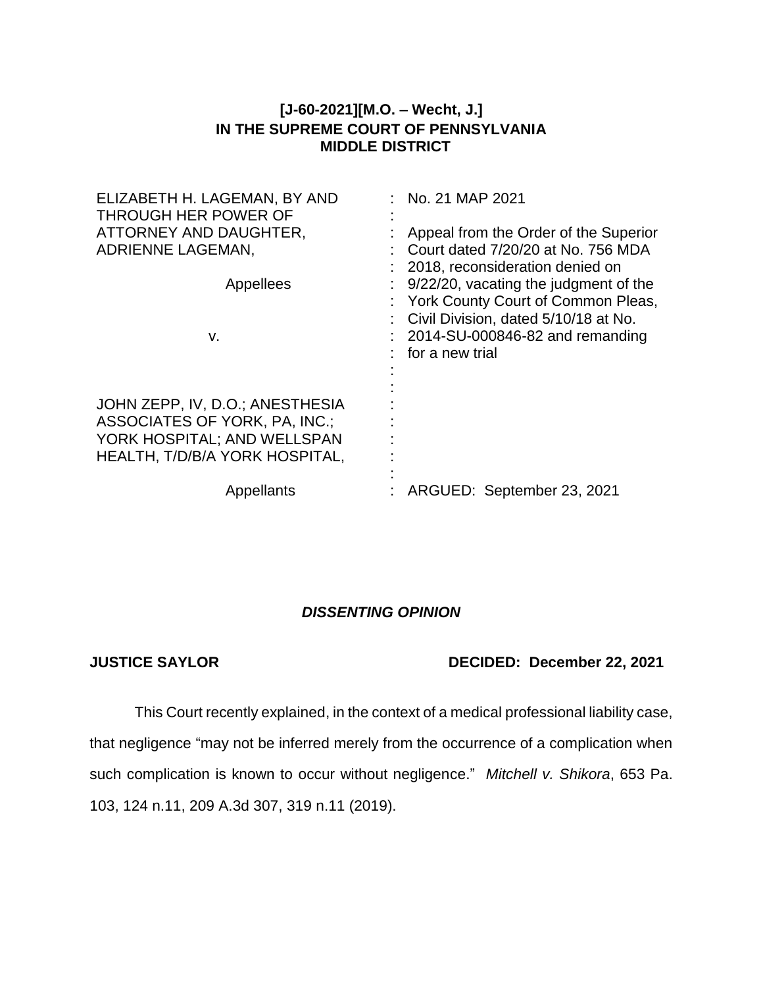## **[J-60-2021][M.O. – Wecht, J.] IN THE SUPREME COURT OF PENNSYLVANIA MIDDLE DISTRICT**

| ELIZABETH H. LAGEMAN, BY AND<br>THROUGH HER POWER OF<br>ATTORNEY AND DAUGHTER,<br>ADRIENNE LAGEMAN,<br>Appellees<br>v.            | No. 21 MAP 2021<br>Appeal from the Order of the Superior<br>Court dated 7/20/20 at No. 756 MDA<br>2018, reconsideration denied on<br>9/22/20, vacating the judgment of the<br>York County Court of Common Pleas,<br>Civil Division, dated 5/10/18 at No.<br>2014-SU-000846-82 and remanding<br>for a new trial |
|-----------------------------------------------------------------------------------------------------------------------------------|----------------------------------------------------------------------------------------------------------------------------------------------------------------------------------------------------------------------------------------------------------------------------------------------------------------|
| JOHN ZEPP, IV, D.O.; ANESTHESIA<br>ASSOCIATES OF YORK, PA, INC.;<br>YORK HOSPITAL; AND WELLSPAN<br>HEALTH, T/D/B/A YORK HOSPITAL, |                                                                                                                                                                                                                                                                                                                |
| Appellants                                                                                                                        | ARGUED: September 23, 2021                                                                                                                                                                                                                                                                                     |

## *DISSENTING OPINION*

## **JUSTICE SAYLOR DECIDED: December 22, 2021**

This Court recently explained, in the context of a medical professional liability case, that negligence "may not be inferred merely from the occurrence of a complication when such complication is known to occur without negligence." *Mitchell v. Shikora*, 653 Pa. 103, 124 n.11, 209 A.3d 307, 319 n.11 (2019).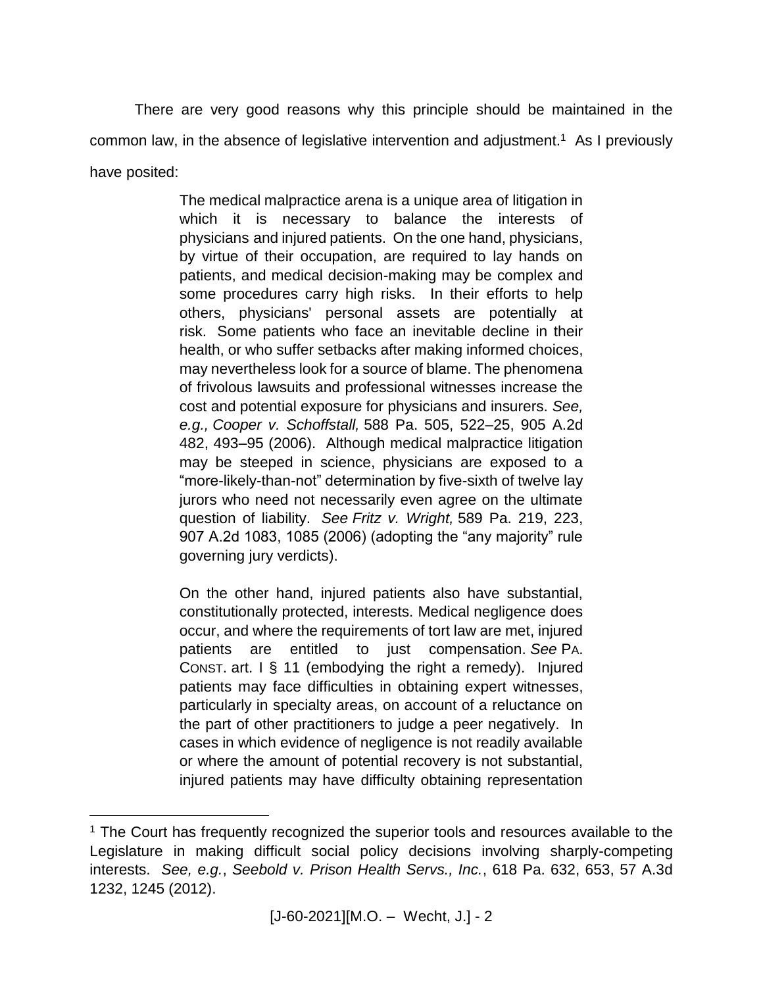There are very good reasons why this principle should be maintained in the common law, in the absence of legislative intervention and adjustment.<sup>1</sup> As I previously have posited:

> The medical malpractice arena is a unique area of litigation in which it is necessary to balance the interests of physicians and injured patients. On the one hand, physicians, by virtue of their occupation, are required to lay hands on patients, and medical decision-making may be complex and some procedures carry high risks. In their efforts to help others, physicians' personal assets are potentially at risk. Some patients who face an inevitable decline in their health, or who suffer setbacks after making informed choices, may nevertheless look for a source of blame. The phenomena of frivolous lawsuits and professional witnesses increase the cost and potential exposure for physicians and insurers. *See, e.g., Cooper v. Schoffstall,* 588 Pa. 505, 522–25, 905 A.2d 482, 493–95 (2006). Although medical malpractice litigation may be steeped in science, physicians are exposed to a "more-likely-than-not" determination by five-sixth of twelve lay jurors who need not necessarily even agree on the ultimate question of liability. *See Fritz v. Wright,* 589 Pa. 219, 223, 907 A.2d 1083, 1085 (2006) (adopting the "any majority" rule governing jury verdicts).

> On the other hand, injured patients also have substantial, constitutionally protected, interests. Medical negligence does occur, and where the requirements of tort law are met, injured patients are entitled to just compensation. *See* PA. CONST. art. I § 11 (embodying the right a remedy). Injured patients may face difficulties in obtaining expert witnesses, particularly in specialty areas, on account of a reluctance on the part of other practitioners to judge a peer negatively. In cases in which evidence of negligence is not readily available or where the amount of potential recovery is not substantial, injured patients may have difficulty obtaining representation

 $\overline{a}$ 

<sup>&</sup>lt;sup>1</sup> The Court has frequently recognized the superior tools and resources available to the Legislature in making difficult social policy decisions involving sharply-competing interests. *See, e.g.*, *Seebold v. Prison Health Servs., Inc.*, 618 Pa. 632, 653, 57 A.3d 1232, 1245 (2012).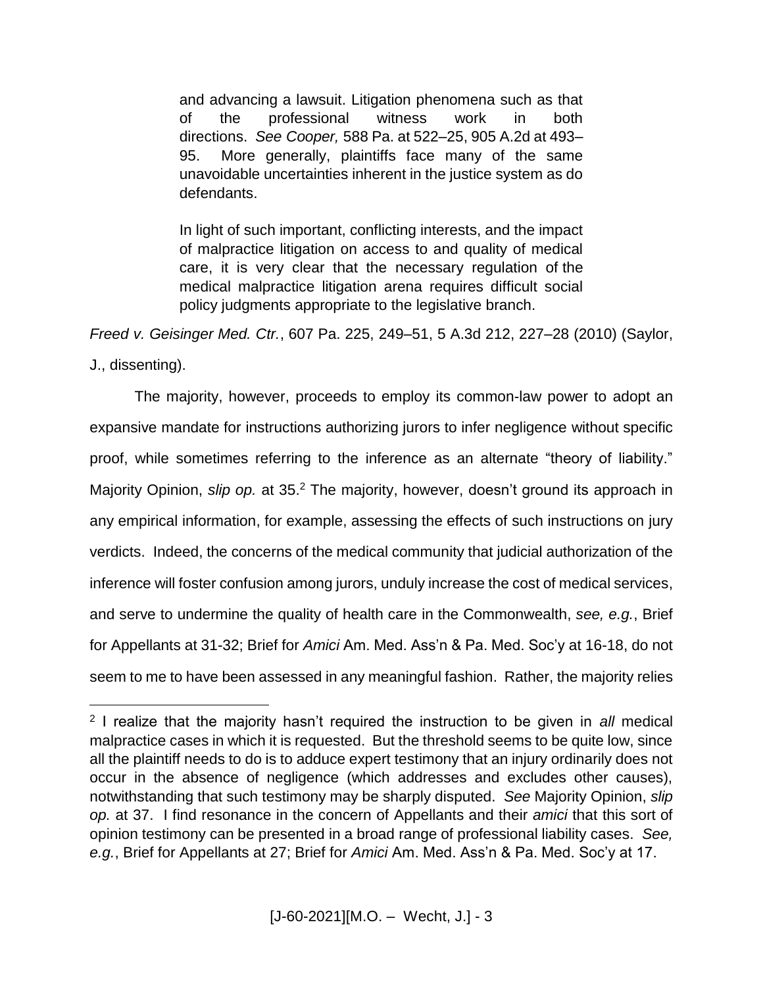and advancing a lawsuit. Litigation phenomena such as that of the professional witness work in both directions. *See Cooper,* 588 Pa. at 522–25, 905 A.2d at 493– 95. More generally, plaintiffs face many of the same unavoidable uncertainties inherent in the justice system as do defendants.

In light of such important, conflicting interests, and the impact of malpractice litigation on access to and quality of medical care, it is very clear that the necessary regulation of the medical malpractice litigation arena requires difficult social policy judgments appropriate to the legislative branch.

*Freed v. Geisinger Med. Ctr.*, 607 Pa. 225, 249–51, 5 A.3d 212, 227–28 (2010) (Saylor,

J., dissenting).

 $\overline{a}$ 

The majority, however, proceeds to employ its common-law power to adopt an expansive mandate for instructions authorizing jurors to infer negligence without specific proof, while sometimes referring to the inference as an alternate "theory of liability." Majority Opinion, slip op. at 35.<sup>2</sup> The majority, however, doesn't ground its approach in any empirical information, for example, assessing the effects of such instructions on jury verdicts. Indeed, the concerns of the medical community that judicial authorization of the inference will foster confusion among jurors, unduly increase the cost of medical services, and serve to undermine the quality of health care in the Commonwealth, *see, e.g.*, Brief for Appellants at 31-32; Brief for *Amici* Am. Med. Ass'n & Pa. Med. Soc'y at 16-18, do not seem to me to have been assessed in any meaningful fashion. Rather, the majority relies

<sup>2</sup> I realize that the majority hasn't required the instruction to be given in *all* medical malpractice cases in which it is requested. But the threshold seems to be quite low, since all the plaintiff needs to do is to adduce expert testimony that an injury ordinarily does not occur in the absence of negligence (which addresses and excludes other causes), notwithstanding that such testimony may be sharply disputed. *See* Majority Opinion, *slip op.* at 37. I find resonance in the concern of Appellants and their *amici* that this sort of opinion testimony can be presented in a broad range of professional liability cases. *See, e.g.*, Brief for Appellants at 27; Brief for *Amici* Am. Med. Ass'n & Pa. Med. Soc'y at 17.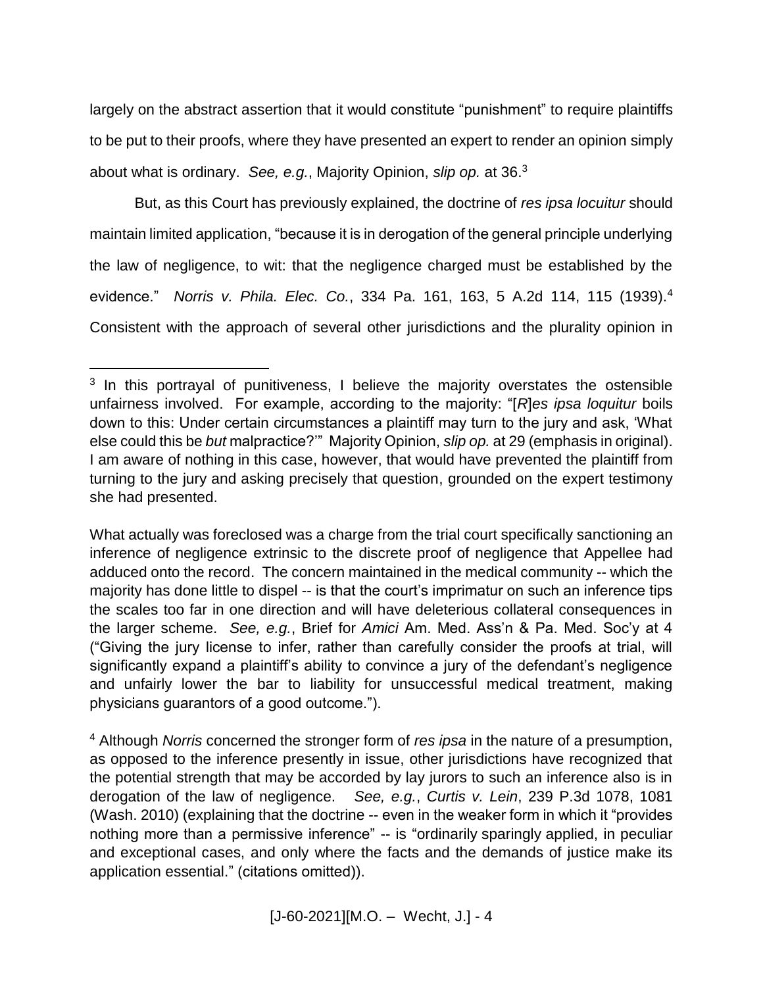largely on the abstract assertion that it would constitute "punishment" to require plaintiffs to be put to their proofs, where they have presented an expert to render an opinion simply about what is ordinary. *See, e.g.*, Majority Opinion, *slip op.* at 36. 3

But, as this Court has previously explained, the doctrine of *res ipsa locuitur* should maintain limited application, "because it is in derogation of the general principle underlying the law of negligence, to wit: that the negligence charged must be established by the evidence." *Norris v. Phila. Elec. Co.*, 334 Pa. 161, 163, 5 A.2d 114, 115 (1939).<sup>4</sup> Consistent with the approach of several other jurisdictions and the plurality opinion in

 $\overline{a}$ 

<sup>&</sup>lt;sup>3</sup> In this portrayal of punitiveness, I believe the majority overstates the ostensible unfairness involved. For example, according to the majority: "[*R*]*es ipsa loquitur* boils down to this: Under certain circumstances a plaintiff may turn to the jury and ask, 'What else could this be *but* malpractice?'" Majority Opinion, *slip op.* at 29 (emphasis in original). I am aware of nothing in this case, however, that would have prevented the plaintiff from turning to the jury and asking precisely that question, grounded on the expert testimony she had presented.

What actually was foreclosed was a charge from the trial court specifically sanctioning an inference of negligence extrinsic to the discrete proof of negligence that Appellee had adduced onto the record. The concern maintained in the medical community -- which the majority has done little to dispel -- is that the court's imprimatur on such an inference tips the scales too far in one direction and will have deleterious collateral consequences in the larger scheme. *See, e.g.*, Brief for *Amici* Am. Med. Ass'n & Pa. Med. Soc'y at 4 ("Giving the jury license to infer, rather than carefully consider the proofs at trial, will significantly expand a plaintiff's ability to convince a jury of the defendant's negligence and unfairly lower the bar to liability for unsuccessful medical treatment, making physicians guarantors of a good outcome.").

<sup>4</sup> Although *Norris* concerned the stronger form of *res ipsa* in the nature of a presumption, as opposed to the inference presently in issue, other jurisdictions have recognized that the potential strength that may be accorded by lay jurors to such an inference also is in derogation of the law of negligence. *See, e.g.*, *Curtis v. Lein*, 239 P.3d 1078, 1081 (Wash. 2010) (explaining that the doctrine -- even in the weaker form in which it "provides nothing more than a permissive inference" -- is "ordinarily sparingly applied, in peculiar and exceptional cases, and only where the facts and the demands of justice make its application essential." (citations omitted)).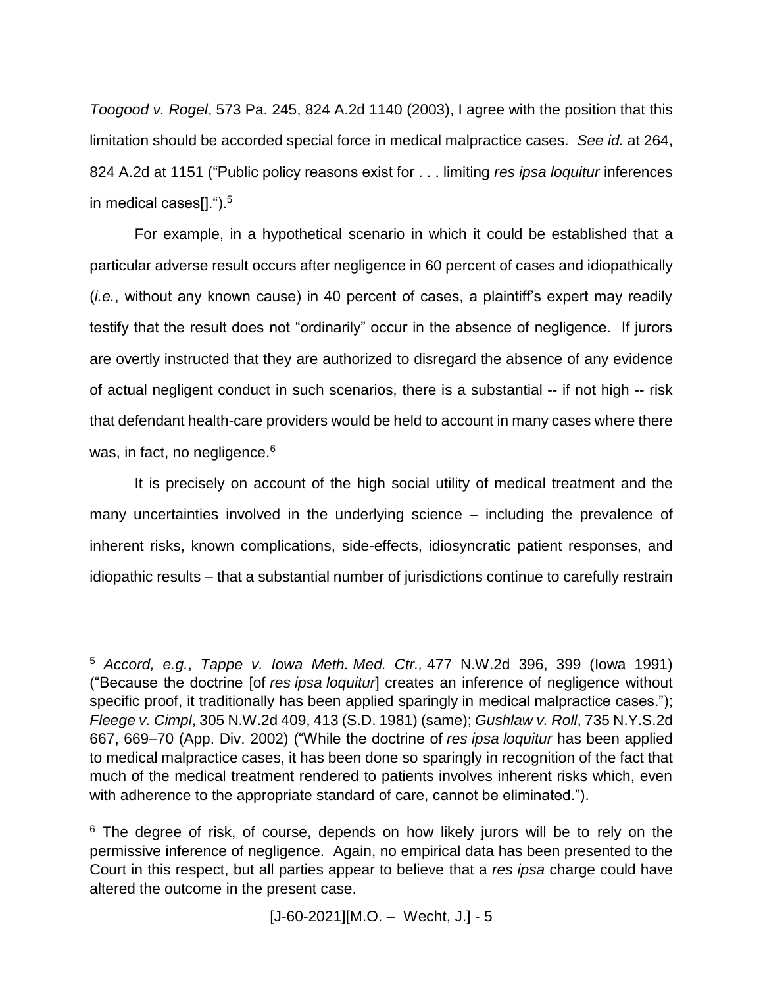*Toogood v. Rogel*, 573 Pa. 245, 824 A.2d 1140 (2003), I agree with the position that this limitation should be accorded special force in medical malpractice cases. *See id.* at 264, 824 A.2d at 1151 ("Public policy reasons exist for . . . limiting *res ipsa loquitur* inferences in medical cases $[1.$ ").<sup>5</sup>

For example, in a hypothetical scenario in which it could be established that a particular adverse result occurs after negligence in 60 percent of cases and idiopathically (*i.e.*, without any known cause) in 40 percent of cases, a plaintiff's expert may readily testify that the result does not "ordinarily" occur in the absence of negligence. If jurors are overtly instructed that they are authorized to disregard the absence of any evidence of actual negligent conduct in such scenarios, there is a substantial -- if not high -- risk that defendant health-care providers would be held to account in many cases where there was, in fact, no negligence.<sup>6</sup>

It is precisely on account of the high social utility of medical treatment and the many uncertainties involved in the underlying science – including the prevalence of inherent risks, known complications, side-effects, idiosyncratic patient responses, and idiopathic results – that a substantial number of jurisdictions continue to carefully restrain

 $\overline{a}$ 

<sup>5</sup> *Accord, e.g.*, *Tappe v. Iowa Meth. Med. Ctr.,* 477 N.W.2d 396, 399 (Iowa 1991) ("Because the doctrine [of *res ipsa loquitur*] creates an inference of negligence without specific proof, it traditionally has been applied sparingly in medical malpractice cases."); *Fleege v. Cimpl*, 305 N.W.2d 409, 413 (S.D. 1981) (same); *Gushlaw v. Roll*, 735 N.Y.S.2d 667, 669–70 (App. Div. 2002) ("While the doctrine of *res ipsa loquitur* has been applied to medical malpractice cases, it has been done so sparingly in recognition of the fact that much of the medical treatment rendered to patients involves inherent risks which, even with adherence to the appropriate standard of care, cannot be eliminated.").

<sup>&</sup>lt;sup>6</sup> The degree of risk, of course, depends on how likely jurors will be to rely on the permissive inference of negligence. Again, no empirical data has been presented to the Court in this respect, but all parties appear to believe that a *res ipsa* charge could have altered the outcome in the present case.